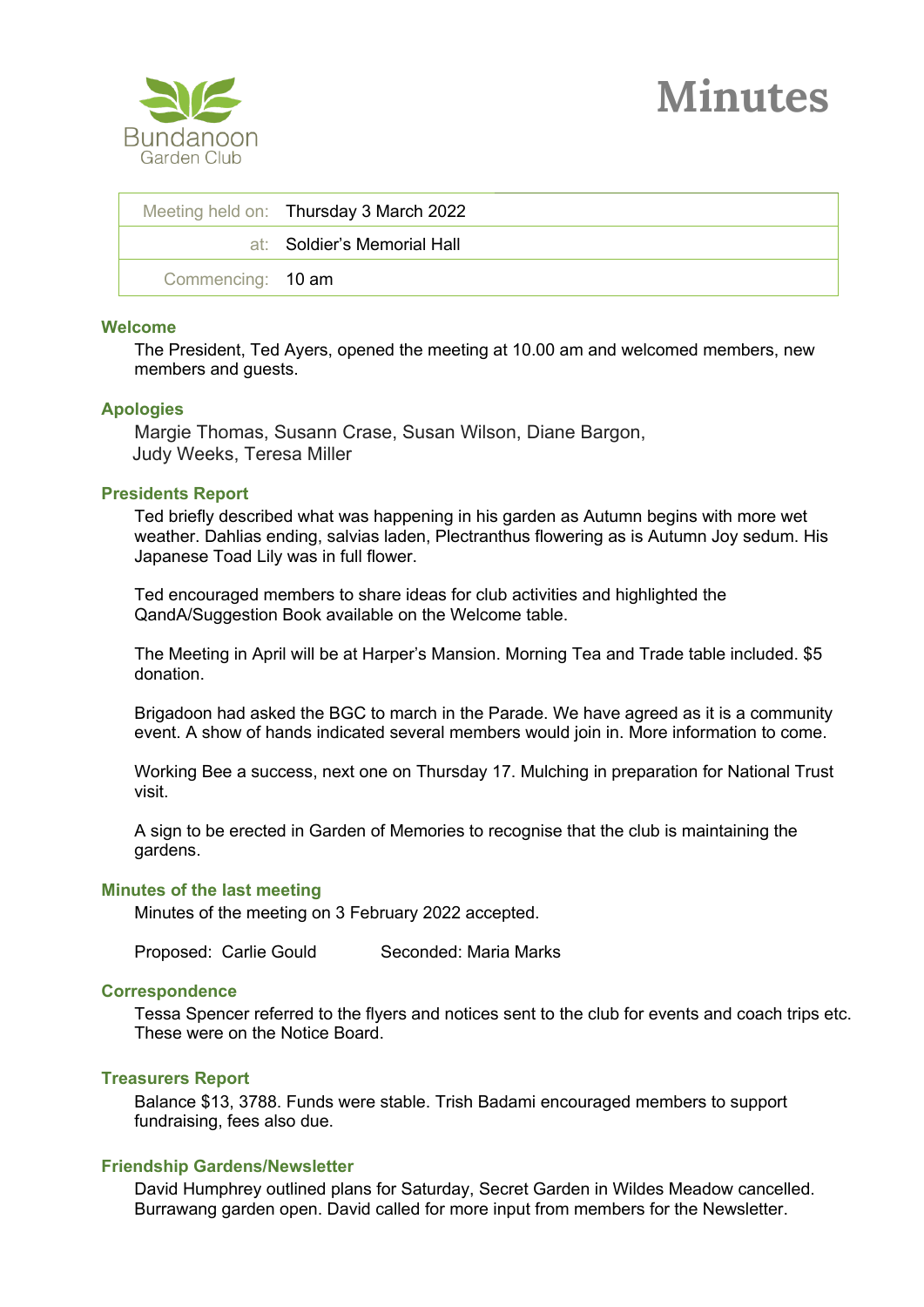

|                   | Meeting held on: Thursday 3 March 2022 |
|-------------------|----------------------------------------|
|                   | at: Soldier's Memorial Hall            |
| Commencing: 10 am |                                        |

### **Welcome**

The President, Ted Ayers, opened the meeting at 10.00 am and welcomed members, new members and guests.

#### **Apologies**

Margie Thomas, Susann Crase, Susan Wilson, Diane Bargon, Judy Weeks, Teresa Miller

### **Presidents Report**

Ted briefly described what was happening in his garden as Autumn begins with more wet weather. Dahlias ending, salvias laden, Plectranthus flowering as is Autumn Joy sedum. His Japanese Toad Lily was in full flower.

Ted encouraged members to share ideas for club activities and highlighted the QandA/Suggestion Book available on the Welcome table.

The Meeting in April will be at Harper's Mansion. Morning Tea and Trade table included. \$5 donation.

Brigadoon had asked the BGC to march in the Parade. We have agreed as it is a community event. A show of hands indicated several members would join in. More information to come.

Working Bee a success, next one on Thursday 17. Mulching in preparation for National Trust visit.

A sign to be erected in Garden of Memories to recognise that the club is maintaining the gardens.

#### **Minutes of the last meeting**

Minutes of the meeting on 3 February 2022 accepted.

Proposed: Carlie Gould Seconded: Maria Marks

### **Correspondence**

Tessa Spencer referred to the flyers and notices sent to the club for events and coach trips etc. These were on the Notice Board.

### **Treasurers Report**

Balance \$13, 3788. Funds were stable. Trish Badami encouraged members to support fundraising, fees also due.

## **Friendship Gardens/Newsletter**

David Humphrey outlined plans for Saturday, Secret Garden in Wildes Meadow cancelled. Burrawang garden open. David called for more input from members for the Newsletter.